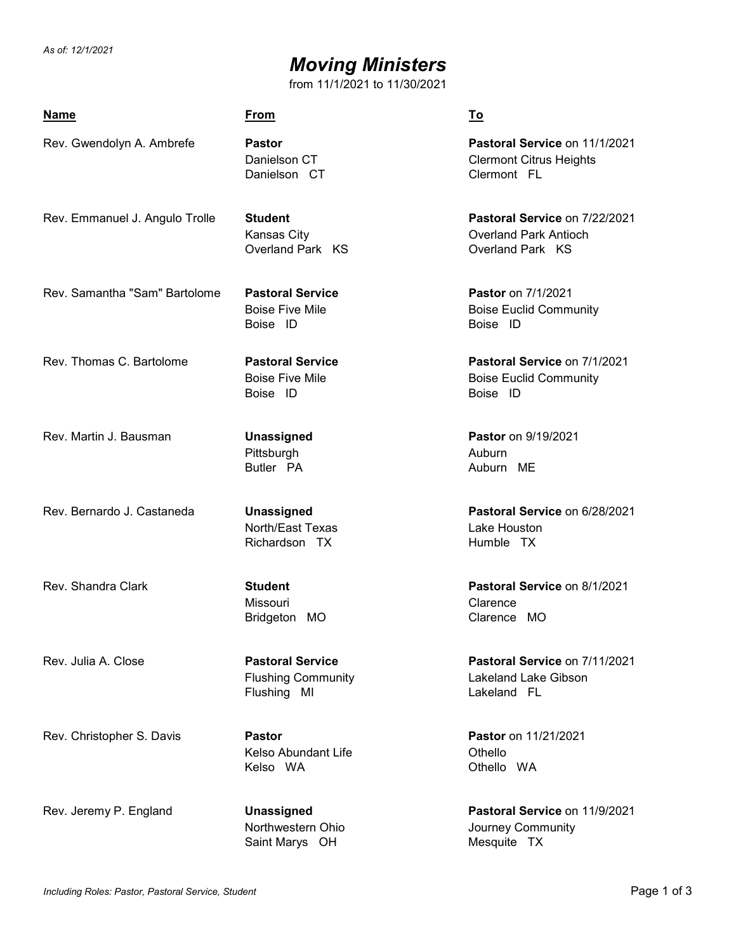*As of: 12/1/2021*

## *Moving Ministers*

from 11/1/2021 to 11/30/2021

| <u>Name</u>                    | <u>From</u>                                                         | <u>To</u>                                                                         |
|--------------------------------|---------------------------------------------------------------------|-----------------------------------------------------------------------------------|
| Rev. Gwendolyn A. Ambrefe      | <b>Pastor</b><br>Danielson CT<br>Danielson CT                       | Pastoral Service on 11/1/2021<br><b>Clermont Citrus Heights</b><br>Clermont FL    |
| Rev. Emmanuel J. Angulo Trolle | <b>Student</b><br>Kansas City<br>Overland Park KS                   | Pastoral Service on 7/22/2021<br><b>Overland Park Antioch</b><br>Overland Park KS |
| Rev. Samantha "Sam" Bartolome  | <b>Pastoral Service</b><br><b>Boise Five Mile</b><br>Boise ID       | <b>Pastor</b> on 7/1/2021<br><b>Boise Euclid Community</b><br>Boise ID            |
| Rev. Thomas C. Bartolome       | <b>Pastoral Service</b><br><b>Boise Five Mile</b><br>Boise ID       | Pastoral Service on 7/1/2021<br><b>Boise Euclid Community</b><br>Boise ID         |
| Rev. Martin J. Bausman         | <b>Unassigned</b><br>Pittsburgh<br>Butler PA                        | Pastor on 9/19/2021<br>Auburn<br>Auburn ME                                        |
| Rev. Bernardo J. Castaneda     | Unassigned<br>North/East Texas<br>Richardson TX                     | Pastoral Service on 6/28/2021<br>Lake Houston<br>Humble TX                        |
| Rev. Shandra Clark             | <b>Student</b><br>Missouri<br>Bridgeton MO                          | Pastoral Service on 8/1/2021<br>Clarence<br>Clarence MO                           |
| Rev. Julia A. Close            | <b>Pastoral Service</b><br><b>Flushing Community</b><br>Flushing MI | Pastoral Service on 7/11/2021<br>Lakeland Lake Gibson<br>Lakeland FL              |
| Rev. Christopher S. Davis      | <b>Pastor</b><br><b>Kelso Abundant Life</b><br>Kelso WA             | <b>Pastor</b> on 11/21/2021<br>Othello<br>Othello WA                              |
| Rev. Jeremy P. England         | <b>Unassigned</b><br>Northwestern Ohio<br>Saint Marys OH            | Pastoral Service on 11/9/2021<br>Journey Community<br>Mesquite TX                 |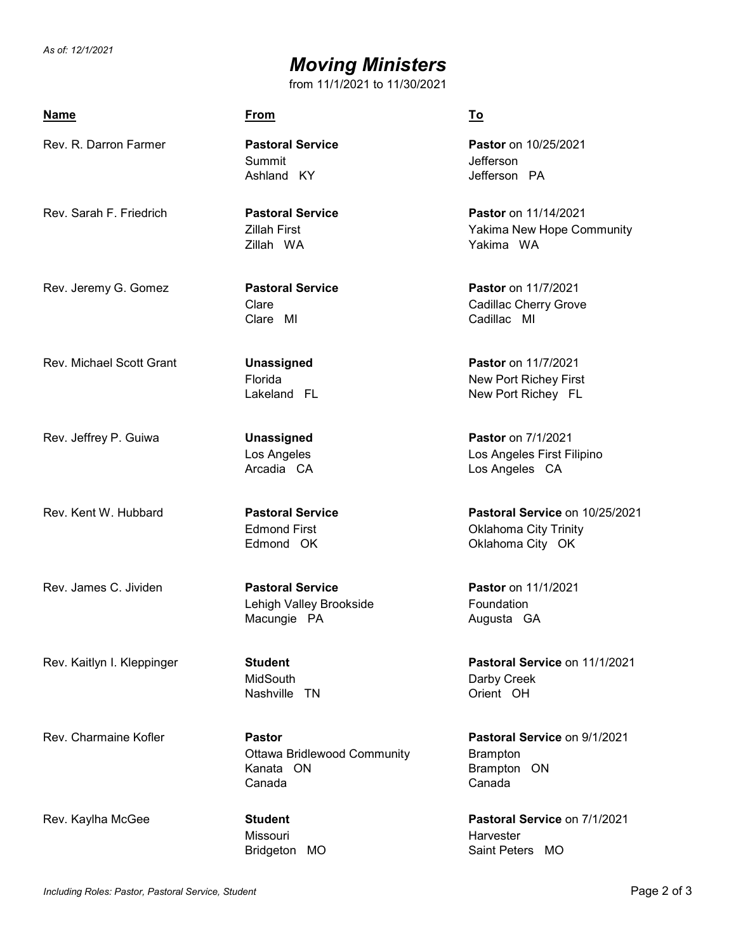*As of: 12/1/2021*

## *Moving Ministers*

from 11/1/2021 to 11/30/2021

| <b>Name</b>                     | From                                                                       | <u>To</u>                                                                          |
|---------------------------------|----------------------------------------------------------------------------|------------------------------------------------------------------------------------|
| Rev. R. Darron Farmer           | <b>Pastoral Service</b><br>Summit<br>Ashland KY                            | Pastor on 10/25/2021<br>Jefferson<br>Jefferson PA                                  |
| Rev. Sarah F. Friedrich         | <b>Pastoral Service</b><br><b>Zillah First</b><br>Zillah WA                | Pastor on 11/14/2021<br>Yakima New Hope Community<br>Yakima WA                     |
| Rev. Jeremy G. Gomez            | <b>Pastoral Service</b><br>Clare<br>Clare MI                               | Pastor on 11/7/2021<br>Cadillac Cherry Grove<br>Cadillac MI                        |
| <b>Rev. Michael Scott Grant</b> | <b>Unassigned</b><br>Florida<br>Lakeland FL                                | <b>Pastor</b> on 11/7/2021<br>New Port Richey First<br>New Port Richey FL          |
| Rev. Jeffrey P. Guiwa           | <b>Unassigned</b><br>Los Angeles<br>Arcadia CA                             | Pastor on 7/1/2021<br>Los Angeles First Filipino<br>Los Angeles CA                 |
| Rev. Kent W. Hubbard            | <b>Pastoral Service</b><br><b>Edmond First</b><br>Edmond OK                | Pastoral Service on 10/25/2021<br><b>Oklahoma City Trinity</b><br>Oklahoma City OK |
| Rev. James C. Jividen           | <b>Pastoral Service</b><br>Lehigh Valley Brookside<br>Macungie PA          | <b>Pastor</b> on 11/1/2021<br>Foundation<br>Augusta GA                             |
| Rev. Kaitlyn I. Kleppinger      | <b>Student</b><br>MidSouth<br>Nashville<br>- TN                            | Pastoral Service on 11/1/2021<br>Darby Creek<br>Orient OH                          |
| Rev. Charmaine Kofler           | <b>Pastor</b><br><b>Ottawa Bridlewood Community</b><br>Kanata ON<br>Canada | Pastoral Service on 9/1/2021<br><b>Brampton</b><br>Brampton ON<br>Canada           |
| Rev. Kaylha McGee               | <b>Student</b><br>Missouri<br>Bridgeton MO                                 | Pastoral Service on 7/1/2021<br>Harvester<br>Saint Peters MO                       |